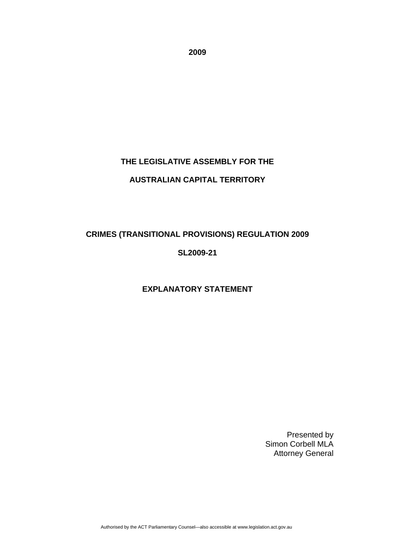**2009** 

# **THE LEGISLATIVE ASSEMBLY FOR THE AUSTRALIAN CAPITAL TERRITORY**

## **CRIMES (TRANSITIONAL PROVISIONS) REGULATION 2009**

## **SL2009-21**

## **EXPLANATORY STATEMENT**

Presented by Simon Corbell MLA Attorney General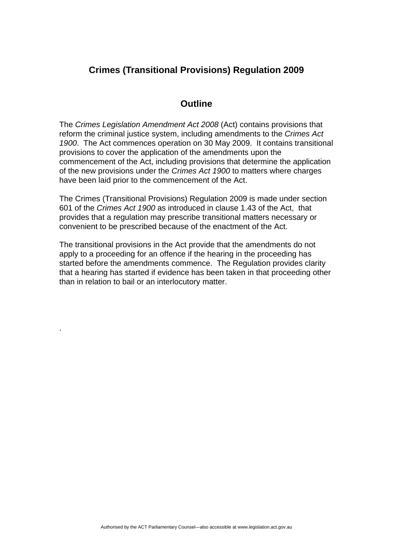## **Crimes (Transitional Provisions) Regulation 2009**

### **Outline**

The *Crimes Legislation Amendment Act 2008* (Act) contains provisions that reform the criminal justice system, including amendments to the *Crimes Act 1900*. The Act commences operation on 30 May 2009. It contains transitional provisions to cover the application of the amendments upon the commencement of the Act, including provisions that determine the application of the new provisions under the *Crimes Act 1900* to matters where charges have been laid prior to the commencement of the Act.

The Crimes (Transitional Provisions) Regulation 2009 is made under section 601 of the *Crimes Act 1900* as introduced in clause 1.43 of the Act, that provides that a regulation may prescribe transitional matters necessary or convenient to be prescribed because of the enactment of the Act.

The transitional provisions in the Act provide that the amendments do not apply to a proceeding for an offence if the hearing in the proceeding has started before the amendments commence. The Regulation provides clarity that a hearing has started if evidence has been taken in that proceeding other than in relation to bail or an interlocutory matter.

.